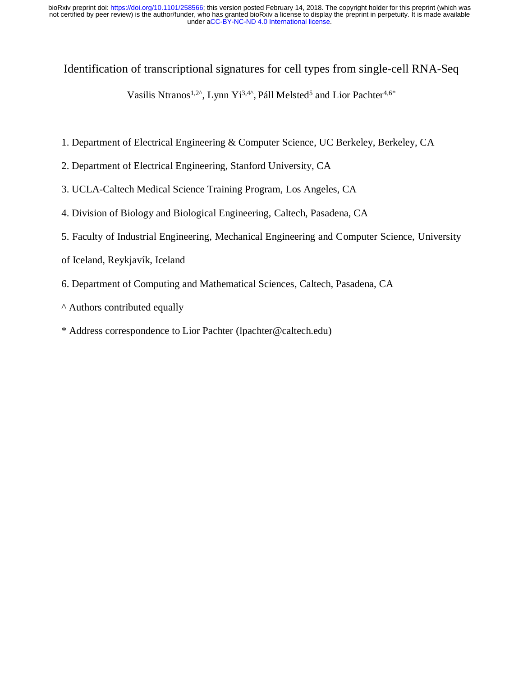Identification of transcriptional signatures for cell types from single-cell RNA-Seq

Vasilis Ntranos<sup>1,2^</sup>, Lynn Yi<sup>3,4^</sup>, Páll Melsted<sup>5</sup> and Lior Pachter<sup>4,6\*</sup>

- 1. Department of Electrical Engineering & Computer Science, UC Berkeley, Berkeley, CA
- 2. Department of Electrical Engineering, Stanford University, CA
- 3. UCLA-Caltech Medical Science Training Program, Los Angeles, CA
- 4. Division of Biology and Biological Engineering, Caltech, Pasadena, CA
- 5. Faculty of Industrial Engineering, Mechanical Engineering and Computer Science, University
- of Iceland, Reykjavík, Iceland
- 6. Department of Computing and Mathematical Sciences, Caltech, Pasadena, CA
- ^ Authors contributed equally
- \* Address correspondence to Lior Pachter [\(lpachter@caltech.edu\)](http://lpachter@caltech.edu/)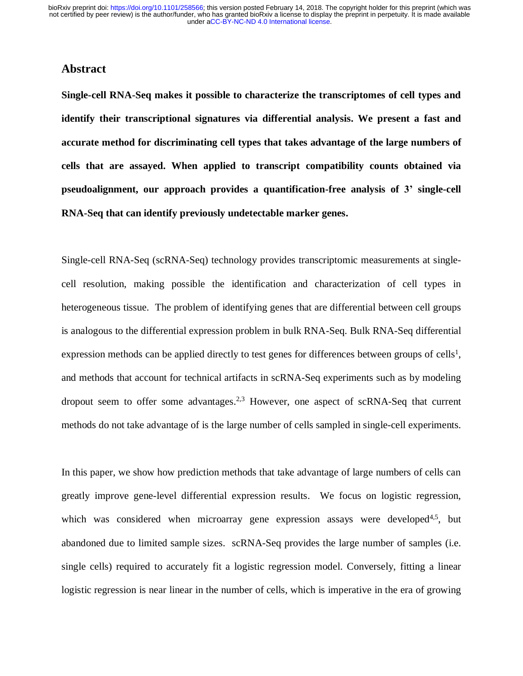# **Abstract**

**Single-cell RNA-Seq makes it possible to characterize the transcriptomes of cell types and identify their transcriptional signatures via differential analysis. We present a fast and accurate method for discriminating cell types that takes advantage of the large numbers of cells that are assayed. When applied to transcript compatibility counts obtained via pseudoalignment, our approach provides a quantification-free analysis of 3' single-cell RNA-Seq that can identify previously undetectable marker genes.**

Single-cell RNA-Seq (scRNA-Seq) technology provides transcriptomic measurements at singlecell resolution, making possible the identification and characterization of cell types in heterogeneous tissue. The problem of identifying genes that are differential between cell groups is analogous to the differential expression problem in bulk RNA-Seq. Bulk RNA-Seq differential expression methods can be applied directly to test genes for differences between groups of cells<sup>1</sup>, and methods that account for technical artifacts in scRNA-Seq experiments such as by modeling dropout seem to offer some advantages.<sup>2,3</sup> However, one aspect of scRNA-Seq that current methods do not take advantage of is the large number of cells sampled in single-cell experiments.

In this paper, we show how prediction methods that take advantage of large numbers of cells can greatly improve gene-level differential expression results. We focus on logistic regression, which was considered when microarray gene expression assays were developed<sup>4,5</sup>, but abandoned due to limited sample sizes. scRNA-Seq provides the large number of samples (i.e. single cells) required to accurately fit a logistic regression model. Conversely, fitting a linear logistic regression is near linear in the number of cells, which is imperative in the era of growing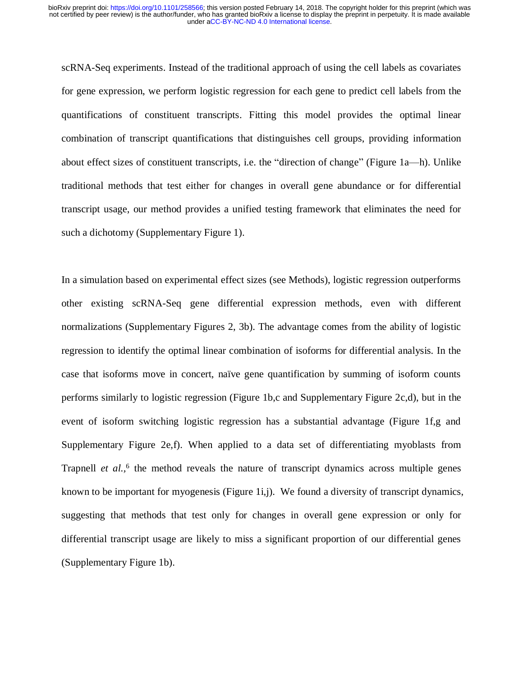scRNA-Seq experiments. Instead of the traditional approach of using the cell labels as covariates for gene expression, we perform logistic regression for each gene to predict cell labels from the quantifications of constituent transcripts. Fitting this model provides the optimal linear combination of transcript quantifications that distinguishes cell groups, providing information about effect sizes of constituent transcripts, i.e. the "direction of change" (Figure 1a—h). Unlike traditional methods that test either for changes in overall gene abundance or for differential transcript usage, our method provides a unified testing framework that eliminates the need for such a dichotomy (Supplementary Figure 1).

In a simulation based on experimental effect sizes (see Methods), logistic regression outperforms other existing scRNA-Seq gene differential expression methods, even with different normalizations (Supplementary Figures 2, 3b). The advantage comes from the ability of logistic regression to identify the optimal linear combination of isoforms for differential analysis. In the case that isoforms move in concert, naïve gene quantification by summing of isoform counts performs similarly to logistic regression (Figure 1b,c and Supplementary Figure 2c,d), but in the event of isoform switching logistic regression has a substantial advantage (Figure 1f,g and Supplementary Figure 2e,f). When applied to a data set of differentiating myoblasts from Trapnell *et al.*,<sup>6</sup> the method reveals the nature of transcript dynamics across multiple genes known to be important for myogenesis (Figure 1i,j). We found a diversity of transcript dynamics, suggesting that methods that test only for changes in overall gene expression or only for differential transcript usage are likely to miss a significant proportion of our differential genes (Supplementary Figure 1b).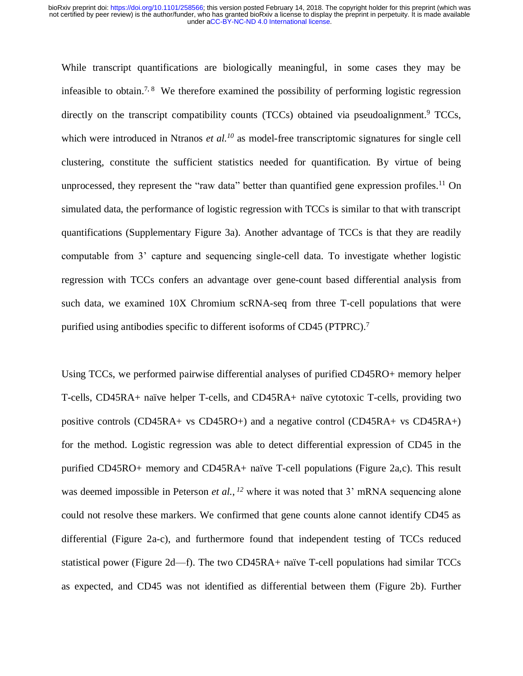While transcript quantifications are biologically meaningful, in some cases they may be infeasible to obtain.<sup>7, 8</sup> We therefore examined the possibility of performing logistic regression directly on the transcript compatibility counts (TCCs) obtained via pseudoalignment.<sup>9</sup> TCCs, which were introduced in Ntranos *et al.<sup>10</sup>* as model-free transcriptomic signatures for single cell clustering, constitute the sufficient statistics needed for quantification. By virtue of being unprocessed, they represent the "raw data" better than quantified gene expression profiles.<sup>11</sup> On simulated data, the performance of logistic regression with TCCs is similar to that with transcript quantifications (Supplementary Figure 3a). Another advantage of TCCs is that they are readily computable from 3' capture and sequencing single-cell data. To investigate whether logistic regression with TCCs confers an advantage over gene-count based differential analysis from such data, we examined 10X Chromium scRNA-seq from three T-cell populations that were purified using antibodies specific to different isoforms of CD45 (PTPRC).<sup>7</sup>

Using TCCs, we performed pairwise differential analyses of purified CD45RO+ memory helper T-cells, CD45RA+ naïve helper T-cells, and CD45RA+ naïve cytotoxic T-cells, providing two positive controls (CD45RA+ vs CD45RO+) and a negative control (CD45RA+ vs CD45RA+) for the method. Logistic regression was able to detect differential expression of CD45 in the purified CD45RO+ memory and CD45RA+ naïve T-cell populations (Figure 2a,c). This result was deemed impossible in Peterson *et al.*, <sup>12</sup> where it was noted that 3' mRNA sequencing alone could not resolve these markers. We confirmed that gene counts alone cannot identify CD45 as differential (Figure 2a-c), and furthermore found that independent testing of TCCs reduced statistical power (Figure 2d—f). The two CD45RA+ naïve T-cell populations had similar TCCs as expected, and CD45 was not identified as differential between them (Figure 2b). Further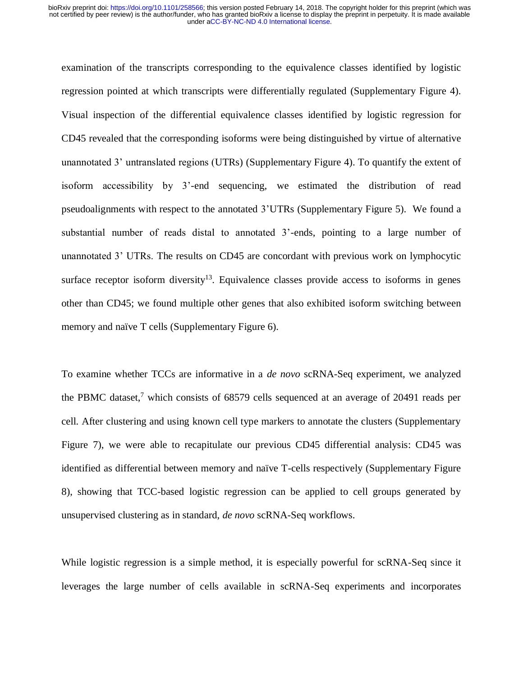examination of the transcripts corresponding to the equivalence classes identified by logistic regression pointed at which transcripts were differentially regulated (Supplementary Figure 4). Visual inspection of the differential equivalence classes identified by logistic regression for CD45 revealed that the corresponding isoforms were being distinguished by virtue of alternative unannotated 3' untranslated regions (UTRs) (Supplementary Figure 4). To quantify the extent of isoform accessibility by 3'-end sequencing, we estimated the distribution of read pseudoalignments with respect to the annotated 3'UTRs (Supplementary Figure 5). We found a substantial number of reads distal to annotated 3'-ends, pointing to a large number of unannotated 3' UTRs. The results on CD45 are concordant with previous work on lymphocytic surface receptor isoform diversity<sup>13</sup>. Equivalence classes provide access to isoforms in genes other than CD45; we found multiple other genes that also exhibited isoform switching between memory and naïve T cells (Supplementary Figure 6).

To examine whether TCCs are informative in a *de novo* scRNA-Seq experiment, we analyzed the PBMC dataset,<sup>7</sup> which consists of  $68579$  cells sequenced at an average of 20491 reads per cell. After clustering and using known cell type markers to annotate the clusters (Supplementary Figure 7), we were able to recapitulate our previous CD45 differential analysis: CD45 was identified as differential between memory and naïve T-cells respectively (Supplementary Figure 8), showing that TCC-based logistic regression can be applied to cell groups generated by unsupervised clustering as in standard, *de novo* scRNA-Seq workflows.

While logistic regression is a simple method, it is especially powerful for scRNA-Seq since it leverages the large number of cells available in scRNA-Seq experiments and incorporates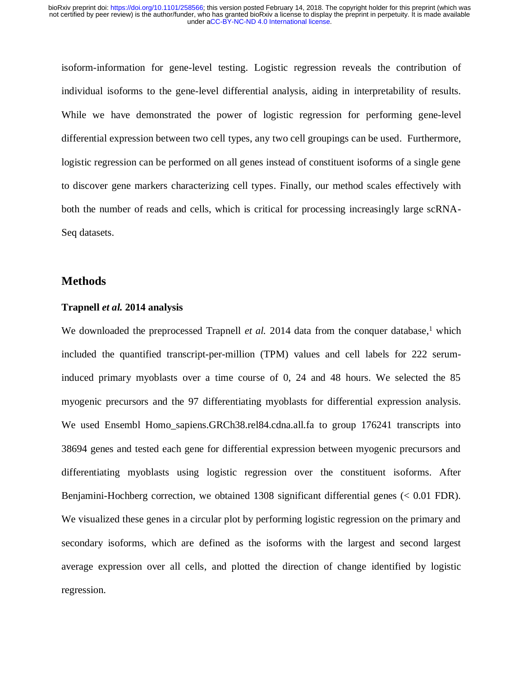isoform-information for gene-level testing. Logistic regression reveals the contribution of individual isoforms to the gene-level differential analysis, aiding in interpretability of results. While we have demonstrated the power of logistic regression for performing gene-level differential expression between two cell types, any two cell groupings can be used. Furthermore, logistic regression can be performed on all genes instead of constituent isoforms of a single gene to discover gene markers characterizing cell types. Finally, our method scales effectively with both the number of reads and cells, which is critical for processing increasingly large scRNA-Seq datasets.

## **Methods**

## **Trapnell** *et al.* **2014 analysis**

We downloaded the preprocessed Trapnell *et al.* 2014 data from the conquer database,<sup>1</sup> which included the quantified transcript-per-million (TPM) values and cell labels for 222 seruminduced primary myoblasts over a time course of 0, 24 and 48 hours. We selected the 85 myogenic precursors and the 97 differentiating myoblasts for differential expression analysis. We used Ensembl Homo\_sapiens.GRCh38.rel84.cdna.all.fa to group 176241 transcripts into 38694 genes and tested each gene for differential expression between myogenic precursors and differentiating myoblasts using logistic regression over the constituent isoforms. After Benjamini-Hochberg correction, we obtained 1308 significant differential genes (< 0.01 FDR). We visualized these genes in a circular plot by performing logistic regression on the primary and secondary isoforms, which are defined as the isoforms with the largest and second largest average expression over all cells, and plotted the direction of change identified by logistic regression.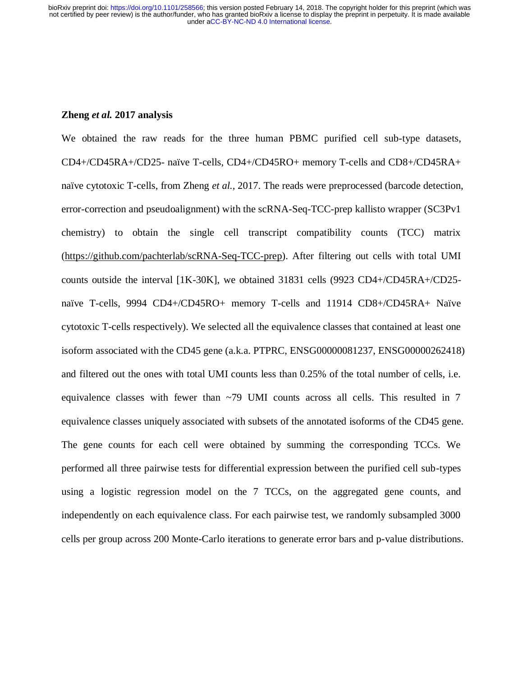## **Zheng** *et al.* **2017 analysis**

We obtained the raw reads for the three human PBMC purified cell sub-type datasets, CD4+/CD45RA+/CD25- naïve T-cells, CD4+/CD45RO+ memory T-cells and CD8+/CD45RA+ naïve cytotoxic T-cells, from Zheng *et al.,* 2017. The reads were preprocessed (barcode detection, error-correction and pseudoalignment) with the scRNA-Seq-TCC-prep kallisto wrapper (SC3Pv1 chemistry) to obtain the single cell transcript compatibility counts (TCC) matrix [\(https://github.com/pachterlab/scRNA-Seq-TCC-prep\)](https://github.com/pachterlab/scRNA-Seq-TCC-prep). After filtering out cells with total UMI counts outside the interval [1K-30K], we obtained 31831 cells (9923 CD4+/CD45RA+/CD25 naïve T-cells, 9994 CD4+/CD45RO+ memory T-cells and 11914 CD8+/CD45RA+ Naïve cytotoxic T-cells respectively). We selected all the equivalence classes that contained at least one isoform associated with the CD45 gene (a.k.a. PTPRC, ENSG00000081237, ENSG00000262418) and filtered out the ones with total UMI counts less than 0.25% of the total number of cells, i.e. equivalence classes with fewer than  $\sim$ 79 UMI counts across all cells. This resulted in 7 equivalence classes uniquely associated with subsets of the annotated isoforms of the CD45 gene. The gene counts for each cell were obtained by summing the corresponding TCCs. We performed all three pairwise tests for differential expression between the purified cell sub-types using a logistic regression model on the 7 TCCs, on the aggregated gene counts, and independently on each equivalence class. For each pairwise test, we randomly subsampled 3000 cells per group across 200 Monte-Carlo iterations to generate error bars and p-value distributions.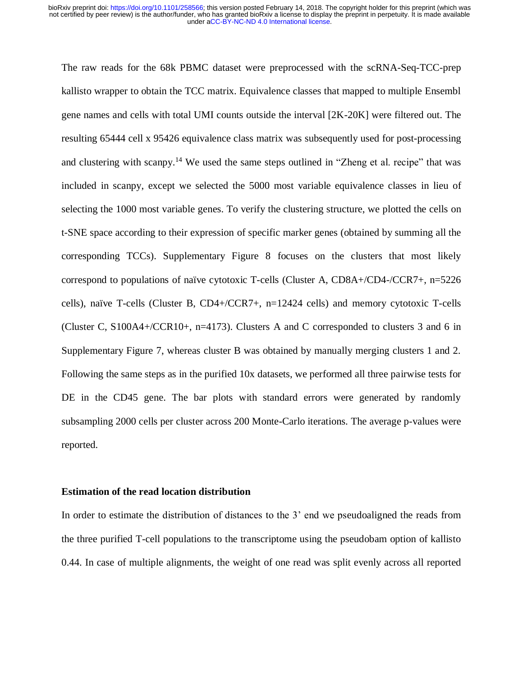The raw reads for the 68k PBMC dataset were preprocessed with the scRNA-Seq-TCC-prep kallisto wrapper to obtain the TCC matrix. Equivalence classes that mapped to multiple Ensembl gene names and cells with total UMI counts outside the interval [2K-20K] were filtered out. The resulting 65444 cell x 95426 equivalence class matrix was subsequently used for post-processing and clustering with scanpy.<sup>14</sup> We used the same steps outlined in "Zheng et al. recipe" that was included in scanpy, except we selected the 5000 most variable equivalence classes in lieu of selecting the 1000 most variable genes. To verify the clustering structure, we plotted the cells on t-SNE space according to their expression of specific marker genes (obtained by summing all the corresponding TCCs). Supplementary Figure 8 focuses on the clusters that most likely correspond to populations of naïve cytotoxic T-cells (Cluster A, CD8A+/CD4-/CCR7+, n=5226 cells), naïve T-cells (Cluster B, CD4+/CCR7+, n=12424 cells) and memory cytotoxic T-cells (Cluster C, S100A4+/CCR10+, n=4173). Clusters A and C corresponded to clusters 3 and 6 in Supplementary Figure 7, whereas cluster B was obtained by manually merging clusters 1 and 2. Following the same steps as in the purified 10x datasets, we performed all three pairwise tests for DE in the CD45 gene. The bar plots with standard errors were generated by randomly subsampling 2000 cells per cluster across 200 Monte-Carlo iterations. The average p-values were reported.

#### **Estimation of the read location distribution**

In order to estimate the distribution of distances to the 3' end we pseudoaligned the reads from the three purified T-cell populations to the transcriptome using the pseudobam option of kallisto 0.44. In case of multiple alignments, the weight of one read was split evenly across all reported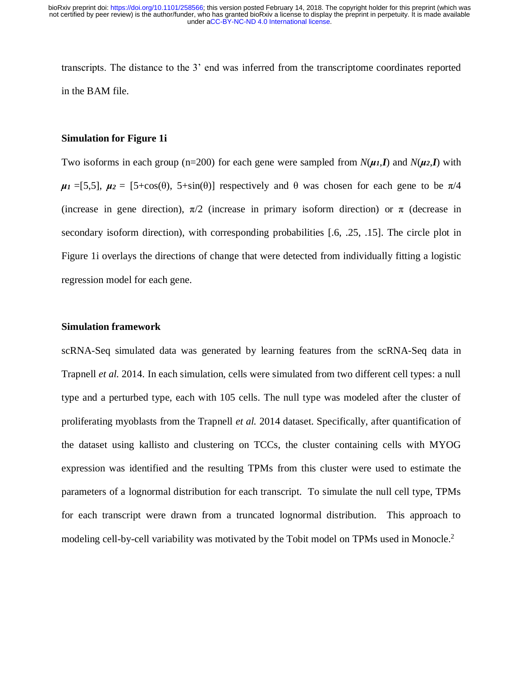transcripts. The distance to the 3' end was inferred from the transcriptome coordinates reported in the BAM file.

## **Simulation for Figure 1i**

Two isoforms in each group (n=200) for each gene were sampled from  $N(\mu_I, I)$  and  $N(\mu_2, I)$  with  $\mu_1 = [5,5], \mu_2 = [5+\cos(\theta), 5+\sin(\theta)]$  respectively and  $\theta$  was chosen for each gene to be  $\pi/4$ (increase in gene direction),  $\pi/2$  (increase in primary isoform direction) or  $\pi$  (decrease in secondary isoform direction), with corresponding probabilities [.6, .25, .15]. The circle plot in Figure 1i overlays the directions of change that were detected from individually fitting a logistic regression model for each gene.

#### **Simulation framework**

scRNA-Seq simulated data was generated by learning features from the scRNA-Seq data in Trapnell *et al.* 2014. In each simulation, cells were simulated from two different cell types: a null type and a perturbed type, each with 105 cells. The null type was modeled after the cluster of proliferating myoblasts from the Trapnell *et al.* 2014 dataset. Specifically, after quantification of the dataset using kallisto and clustering on TCCs, the cluster containing cells with MYOG expression was identified and the resulting TPMs from this cluster were used to estimate the parameters of a lognormal distribution for each transcript. To simulate the null cell type, TPMs for each transcript were drawn from a truncated lognormal distribution. This approach to modeling cell-by-cell variability was motivated by the Tobit model on TPMs used in Monocle.<sup>2</sup>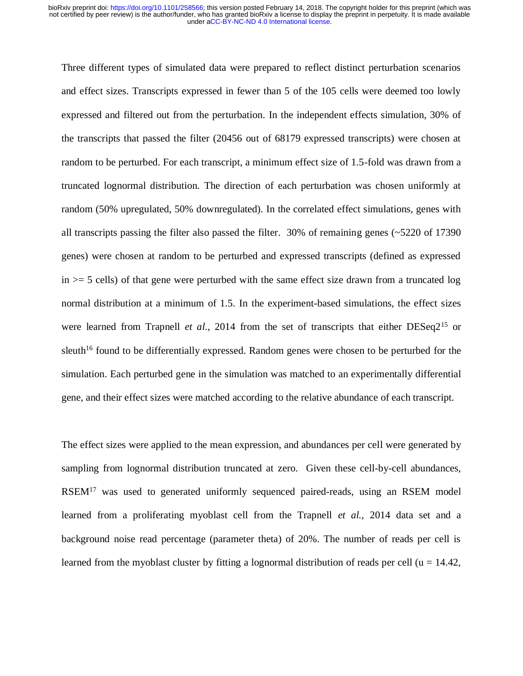Three different types of simulated data were prepared to reflect distinct perturbation scenarios and effect sizes. Transcripts expressed in fewer than 5 of the 105 cells were deemed too lowly expressed and filtered out from the perturbation. In the independent effects simulation, 30% of the transcripts that passed the filter (20456 out of 68179 expressed transcripts) were chosen at random to be perturbed. For each transcript, a minimum effect size of 1.5-fold was drawn from a truncated lognormal distribution. The direction of each perturbation was chosen uniformly at random (50% upregulated, 50% downregulated). In the correlated effect simulations, genes with all transcripts passing the filter also passed the filter. 30% of remaining genes  $\left(\sim 5220\right)$  of 17390 genes) were chosen at random to be perturbed and expressed transcripts (defined as expressed  $in \ge 5$  cells) of that gene were perturbed with the same effect size drawn from a truncated log normal distribution at a minimum of 1.5. In the experiment-based simulations, the effect sizes were learned from Trapnell *et al.*, 2014 from the set of transcripts that either DESeq2<sup>15</sup> or sleuth<sup>16</sup> found to be differentially expressed. Random genes were chosen to be perturbed for the simulation. Each perturbed gene in the simulation was matched to an experimentally differential gene, and their effect sizes were matched according to the relative abundance of each transcript.

The effect sizes were applied to the mean expression, and abundances per cell were generated by sampling from lognormal distribution truncated at zero. Given these cell-by-cell abundances, RSEM<sup>17</sup> was used to generated uniformly sequenced paired-reads, using an RSEM model learned from a proliferating myoblast cell from the Trapnell *et al.,* 2014 data set and a background noise read percentage (parameter theta) of 20%. The number of reads per cell is learned from the myoblast cluster by fitting a lognormal distribution of reads per cell ( $u = 14.42$ ,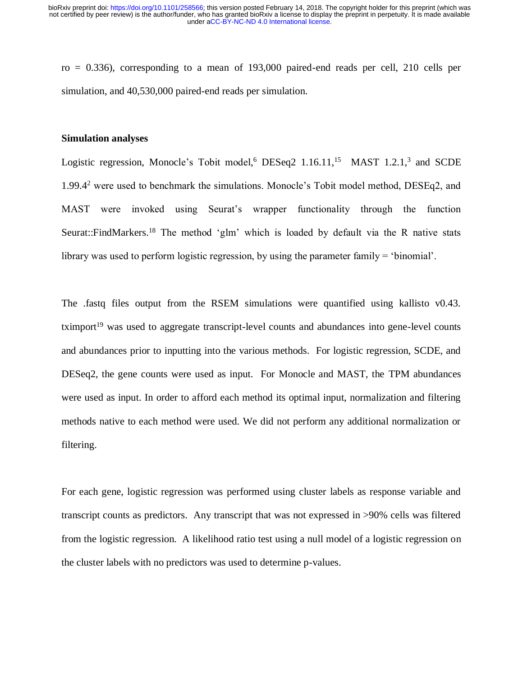$ro = 0.336$ ), corresponding to a mean of 193,000 paired-end reads per cell, 210 cells per simulation, and  $40,530,000$  paired-end reads per simulation.

#### **Simulation analyses**

Logistic regression, Monocle's Tobit model,<sup>6</sup> DESeq2 1.16.11,<sup>15</sup> MAST 1.2.1,<sup>3</sup> and SCDE 1.99.4<sup>2</sup> were used to benchmark the simulations. Monocle's Tobit model method, DESEq2, and MAST were invoked using Seurat's wrapper functionality through the function Seurat::FindMarkers.<sup>18</sup> The method 'glm' which is loaded by default via the R native stats library was used to perform logistic regression, by using the parameter family = 'binomial'.

The .fastq files output from the RSEM simulations were quantified using kallisto v0.43.  $t \times 19$  was used to aggregate transcript-level counts and abundances into gene-level counts and abundances prior to inputting into the various methods. For logistic regression, SCDE, and DESeq2, the gene counts were used as input. For Monocle and MAST, the TPM abundances were used as input. In order to afford each method its optimal input, normalization and filtering methods native to each method were used. We did not perform any additional normalization or filtering.

For each gene, logistic regression was performed using cluster labels as response variable and transcript counts as predictors. Any transcript that was not expressed in >90% cells was filtered from the logistic regression. A likelihood ratio test using a null model of a logistic regression on the cluster labels with no predictors was used to determine p-values.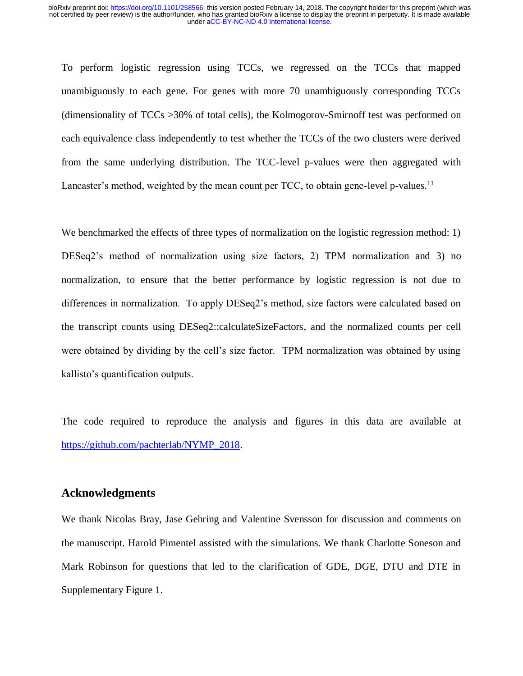To perform logistic regression using TCCs, we regressed on the TCCs that mapped unambiguously to each gene. For genes with more 70 unambiguously corresponding TCCs (dimensionality of TCCs >30% of total cells), the Kolmogorov-Smirnoff test was performed on each equivalence class independently to test whether the TCCs of the two clusters were derived from the same underlying distribution. The TCC-level p-values were then aggregated with Lancaster's method, weighted by the mean count per TCC, to obtain gene-level p-values.<sup>11</sup>

We benchmarked the effects of three types of normalization on the logistic regression method: 1) DESeq2's method of normalization using size factors, 2) TPM normalization and 3) no normalization, to ensure that the better performance by logistic regression is not due to differences in normalization. To apply DESeq2's method, size factors were calculated based on the transcript counts using DESeq2::calculateSizeFactors, and the normalized counts per cell were obtained by dividing by the cell's size factor. TPM normalization was obtained by using kallisto's quantification outputs.

The code required to reproduce the analysis and figures in this data are available at [https://github.com/pachterlab/NYMP\\_2018.](https://github.com/pachterlab/NYMP_2018)

# **Acknowledgments**

We thank Nicolas Bray, Jase Gehring and Valentine Svensson for discussion and comments on the manuscript. Harold Pimentel assisted with the simulations. We thank Charlotte Soneson and Mark Robinson for questions that led to the clarification of GDE, DGE, DTU and DTE in Supplementary Figure 1.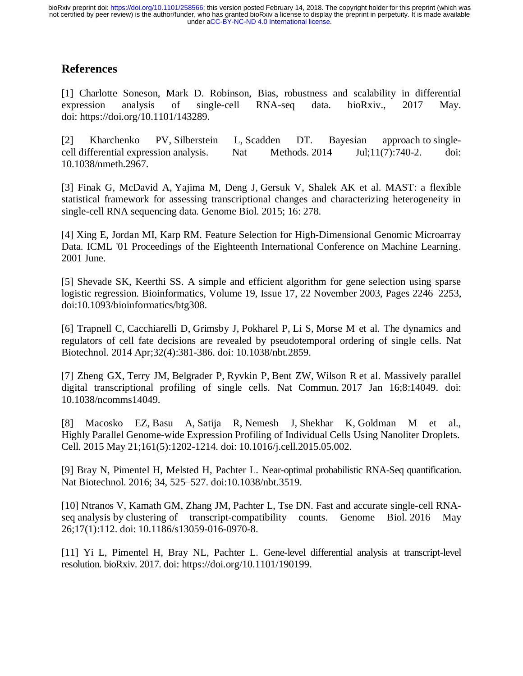# **References**

[1] Charlotte Soneson, Mark D. Robinson, Bias, robustness and scalability in differential expression analysis of single-cell RNA-seq data. bioRxiv., 2017 May. doi: https://doi.org/10.1101/143289.

[2] Kharchenko PV, Silberstein L, Scadden DT. Bayesian approach to singlecell differential expression analysis. Nat Methods. 2014 Jul;11(7):740-2. doi: 10.1038/nmeth.2967.

[3] Finak G, McDavid A, Yajima M, Deng J, Gersuk V, Shalek AK et al. MAST: a flexible statistical framework for assessing transcriptional changes and characterizing heterogeneity in single-cell RNA sequencing data. Genome Biol. 2015; 16: 278.

[4] Xing E, Jordan MI, Karp RM. Feature Selection for High-Dimensional Genomic Microarray Data. ICML '01 Proceedings of the Eighteenth International Conference on Machine Learning. 2001 June.

[5] Shevade SK, Keerthi SS. A simple and efficient algorithm for gene selection using sparse logistic regression. Bioinformatics, Volume 19, Issue 17, 22 November 2003, Pages 2246–2253, doi:10.1093/bioinformatics/btg308.

[6] Trapnell C, Cacchiarelli D, Grimsby J, Pokharel P, Li S, Morse M et al. The dynamics and regulators of cell fate decisions are revealed by pseudotemporal ordering of single cells. Nat Biotechnol. 2014 Apr;32(4):381-386. doi: 10.1038/nbt.2859.

[7] Zheng GX, Terry JM, Belgrader P, Ryvkin P, Bent ZW, Wilson R et al. Massively parallel digital transcriptional profiling of single cells. Nat Commun. 2017 Jan 16;8:14049. doi: 10.1038/ncomms14049.

[8] Macosko EZ, Basu A, Satija R, Nemesh J, Shekhar K, Goldman M et al., Highly Parallel Genome-wide Expression Profiling of Individual Cells Using Nanoliter Droplets. Cell. 2015 May 21;161(5):1202-1214. doi: 10.1016/j.cell.2015.05.002.

[9] Bray N, Pimentel H, Melsted H, Pachter L. Near-optimal probabilistic RNA-Seq quantification. Nat Biotechnol. 2016; 34, 525–527. doi:10.1038/nbt.3519.

[10] Ntranos V, Kamath GM, Zhang JM, Pachter L, Tse DN. Fast and accurate single-cell RNAseq analysis by clustering of transcript-compatibility counts. Genome Biol. 2016 May 26;17(1):112. doi: 10.1186/s13059-016-0970-8.

[11] Yi L, Pimentel H, Bray NL, Pachter L. Gene-level differential analysis at transcript-level resolution. bioRxiv. 2017. doi: https://doi.org/10.1101/190199.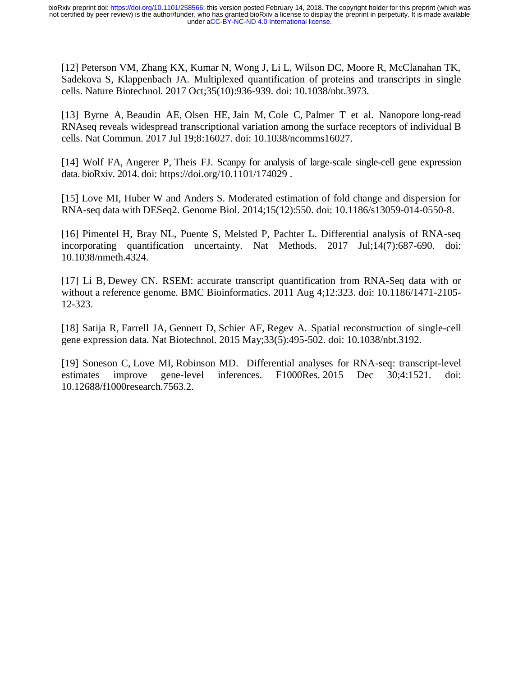[12] Peterson VM, Zhang KX, Kumar N, Wong J, Li L, Wilson DC, Moore R, McClanahan TK, Sadekova S, Klappenbach JA. Multiplexed quantification of proteins and transcripts in single cells. Nature Biotechnol. 2017 Oct;35(10):936-939. doi: 10.1038/nbt.3973.

[13] Byrne A, Beaudin AE, Olsen HE, Jain M, Cole C, Palmer T et al. Nanopore long-read RNAseq reveals widespread transcriptional variation among the surface receptors of individual B cells. Nat Commun. 2017 Jul 19;8:16027. doi: 10.1038/ncomms16027.

[14] Wolf FA, Angerer P, Theis FJ. Scanpy for analysis of large-scale single-cell gene expression data. bioRxiv. 2014. doi: https://doi.org/10.1101/174029 .

[15] Love MI, Huber W and Anders S. Moderated estimation of fold change and dispersion for RNA-seq data with DESeq2. Genome Biol. 2014;15(12):550. doi: 10.1186/s13059-014-0550-8.

[16] Pimentel H, Bray NL, Puente S, Melsted P, Pachter L. Differential analysis of RNA-seq incorporating quantification uncertainty. Nat Methods. 2017 Jul;14(7):687-690. doi: 10.1038/nmeth.4324.

[17] Li B, Dewey CN. RSEM: accurate transcript quantification from RNA-Seq data with or without a reference genome. BMC Bioinformatics. 2011 Aug 4;12:323. doi: 10.1186/1471-2105- 12-323.

[18] Satija R, Farrell JA, Gennert D, Schier AF, Regev A. Spatial reconstruction of single-cell gene expression data. Nat Biotechnol. 2015 May;33(5):495-502. doi: 10.1038/nbt.3192.

[19] Soneson C, Love MI, Robinson MD. Differential analyses for RNA-seq: transcript-level estimates improve gene-level inferences. F1000Res. 2015 Dec 30;4:1521. doi: 10.12688/f1000research.7563.2.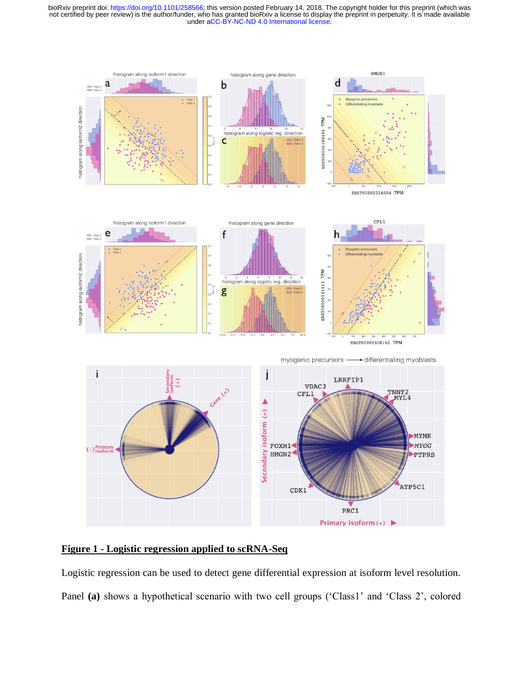under [aCC-BY-NC-ND 4.0 International license.](http://creativecommons.org/licenses/by-nc-nd/4.0/) not certified by peer review) is the author/funder, who has granted bioRxiv a license to display the preprint in perpetuity. It is made available bioRxiv preprint doi: [https://doi.org/10.1101/258566;](https://doi.org/10.1101/258566) this version posted February 14, 2018. The copyright holder for this preprint (which was



**Figure 1 - Logistic regression applied to scRNA-Seq**

Logistic regression can be used to detect gene differential expression at isoform level resolution. Panel (a) shows a hypothetical scenario with two cell groups ('Class1' and 'Class 2', colored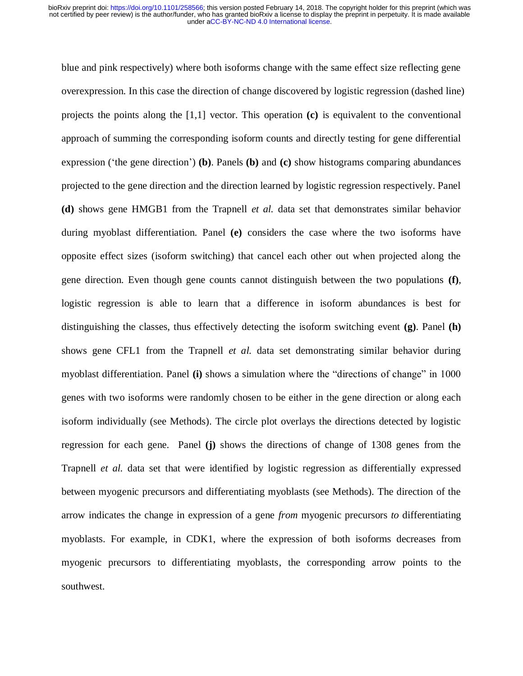blue and pink respectively) where both isoforms change with the same effect size reflecting gene overexpression. In this case the direction of change discovered by logistic regression (dashed line) projects the points along the [1,1] vector. This operation **(c)** is equivalent to the conventional approach of summing the corresponding isoform counts and directly testing for gene differential expression ('the gene direction') **(b)**. Panels **(b)** and **(c)** show histograms comparing abundances projected to the gene direction and the direction learned by logistic regression respectively. Panel **(d)** shows gene HMGB1 from the Trapnell *et al.* data set that demonstrates similar behavior during myoblast differentiation. Panel **(e)** considers the case where the two isoforms have opposite effect sizes (isoform switching) that cancel each other out when projected along the gene direction. Even though gene counts cannot distinguish between the two populations **(f)**, logistic regression is able to learn that a difference in isoform abundances is best for distinguishing the classes, thus effectively detecting the isoform switching event **(g)**. Panel **(h)**  shows gene CFL1 from the Trapnell *et al.* data set demonstrating similar behavior during myoblast differentiation. Panel **(i)** shows a simulation where the "directions of change" in 1000 genes with two isoforms were randomly chosen to be either in the gene direction or along each isoform individually (see Methods). The circle plot overlays the directions detected by logistic regression for each gene. Panel **(j)** shows the directions of change of 1308 genes from the Trapnell *et al.* data set that were identified by logistic regression as differentially expressed between myogenic precursors and differentiating myoblasts (see Methods). The direction of the arrow indicates the change in expression of a gene *from* myogenic precursors *to* differentiating myoblasts. For example, in CDK1, where the expression of both isoforms decreases from myogenic precursors to differentiating myoblasts, the corresponding arrow points to the southwest.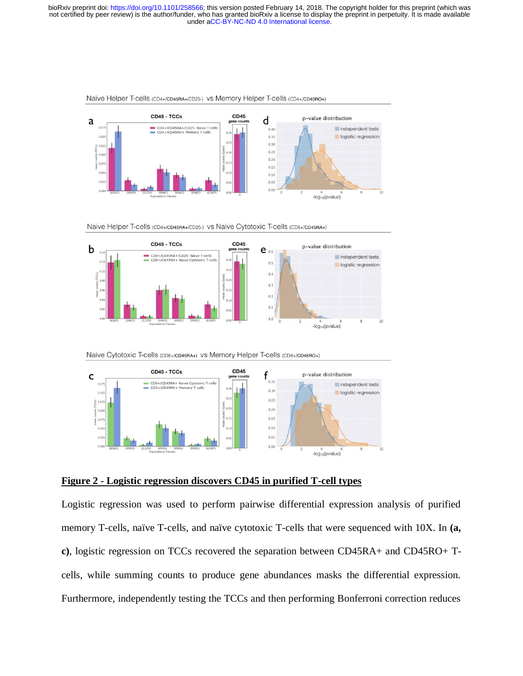

Naive Helper T-cells (CD4+/CD45RA+/CD25-) vs Memory Helper T-cells (CD4+/CD45RO+)

Naive Helper T-cells (CD4+/CD45RA+/CD25-) vs Naive Cytotoxic T-cells (CD8+/CD45RA+)



Naive Cytotoxic T-cells (CD8+/CD45RA+) vs Memory Helper T-cells (CD4+/CD45RO+)



#### **Figure 2 - Logistic regression discovers CD45 in purified T-cell types**

Logistic regression was used to perform pairwise differential expression analysis of purified memory T-cells, naïve T-cells, and naïve cytotoxic T-cells that were sequenced with 10X. In **(a, c)**, logistic regression on TCCs recovered the separation between CD45RA+ and CD45RO+ Tcells, while summing counts to produce gene abundances masks the differential expression. Furthermore, independently testing the TCCs and then performing Bonferroni correction reduces